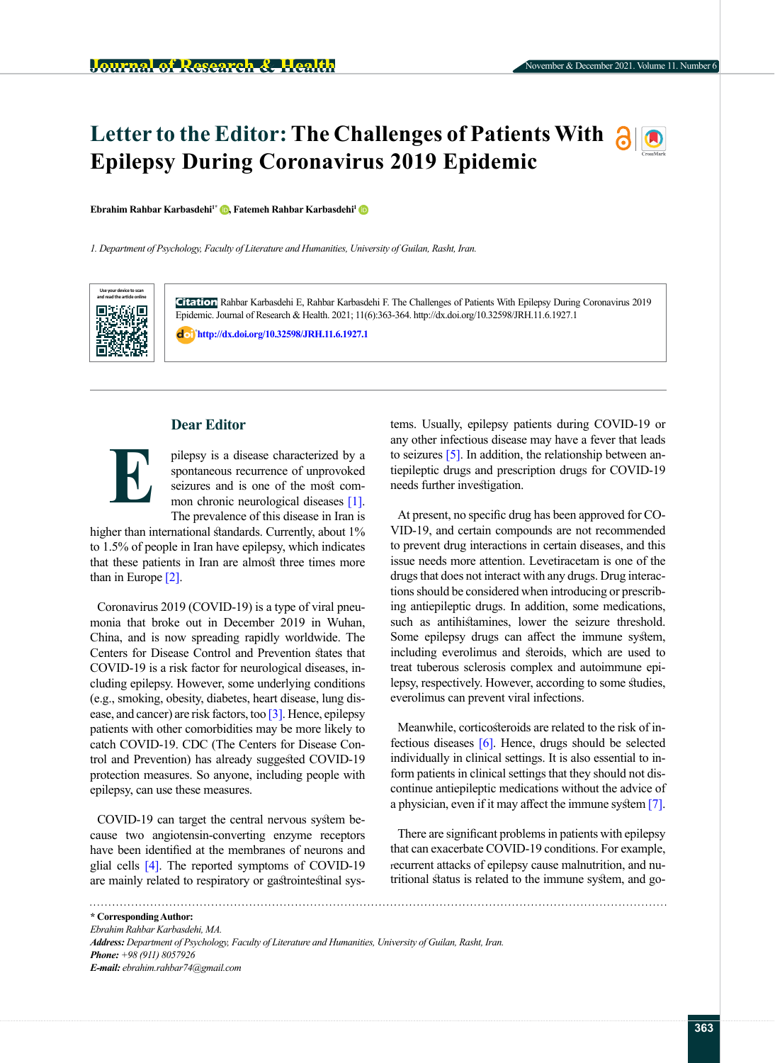# **Letter to the Editor: The Challenges of Patients With allow Epilepsy During Coronavirus 2019 Epidemic**

**Ebrahim Rahbar Karbasdehi<sup>[1](http://orcid.org/0000-0001-7160-9567)\*</sup> <b>D**[,](https://orcid.org/0000-0002-8215-274X) Fatemeh Rahbar Karbasdehi<sup>1</sup> D

*1. Department of Psychology, Faculty of Literature and Humanities, University of Guilan, Rasht, Iran.*



**Citation** Rahbar Karbasdehi E, Rahbar Karbasdehi F. The Challenges of Patients With Epilepsy During Coronavirus 2019 Epidemic. Journal of Research & Health. 2021; 11(6):363-364. http://dx.doi.org/10.32598/JRH.11.6.1927.1

: **<http://dx.doi.org/10.32598/JRH.11.6.1927.1>**

# **Dear Editor**



pilepsy is a disease characterized by a spontaneous recurrence of unprovoked seizures and is one of the most common chronic neurological diseases [\[1\].](#page-1-0) The prevalence of this disease in Iran is

higher than international standards. Currently, about 1% to 1.5% of people in Iran have epilepsy, which indicates that these patients in Iran are almost three times more than in Europe [\[2\]](#page-1-1).

Coronavirus 2019 (COVID-19) is a type of viral pneumonia that broke out in December 2019 in Wuhan, China, and is now spreading rapidly worldwide. The Centers for Disease Control and Prevention states that COVID-19 is a risk factor for neurological diseases, including epilepsy. However, some underlying conditions (e.g., smoking, obesity, diabetes, heart disease, lung disease, and cancer) are risk factors, too [\[3\]](#page-1-2). Hence, epilepsy patients with other comorbidities may be more likely to catch COVID-19. CDC (The Centers for Disease Control and Prevention) has already suggested COVID-19 protection measures. So anyone, including people with epilepsy, can use these measures.

COVID-19 can target the central nervous system because two angiotensin-converting enzyme receptors have been identified at the membranes of neurons and glial cells [\[4\]](#page-1-3). The reported symptoms of COVID-19 are mainly related to respiratory or gastrointestinal systems. Usually, epilepsy patients during COVID-19 or any other infectious disease may have a fever that leads to seizures [\[5\]](#page-1-4). In addition, the relationship between antiepileptic drugs and prescription drugs for COVID-19 needs further investigation.

At present, no specific drug has been approved for CO-VID-19, and certain compounds are not recommended to prevent drug interactions in certain diseases, and this issue needs more attention. Levetiracetam is one of the drugs that does not interact with any drugs. Drug interactions should be considered when introducing or prescribing antiepileptic drugs. In addition, some medications, such as antihistamines, lower the seizure threshold. Some epilepsy drugs can affect the immune system, including everolimus and steroids, which are used to treat tuberous sclerosis complex and autoimmune epilepsy, respectively. However, according to some studies, everolimus can prevent viral infections.

Meanwhile, corticosteroids are related to the risk of infectious diseases [\[6\].](#page-1-5) Hence, drugs should be selected individually in clinical settings. It is also essential to inform patients in clinical settings that they should not discontinue antiepileptic medications without the advice of a physician, even if it may affect the immune system [\[7\]](#page-1-6).

There are significant problems in patients with epilepsy that can exacerbate COVID-19 conditions. For example, recurrent attacks of epilepsy cause malnutrition, and nutritional status is related to the immune system, and go-

**\* Corresponding Author:** *Ebrahim Rahbar Karbasdehi, MA. Address: Department of Psychology, Faculty of Literature and Humanities, University of Guilan, Rasht, Iran. Phone: +98 (911) 8057926 E-mail: ebrahim.rahbar74@gmail.com*